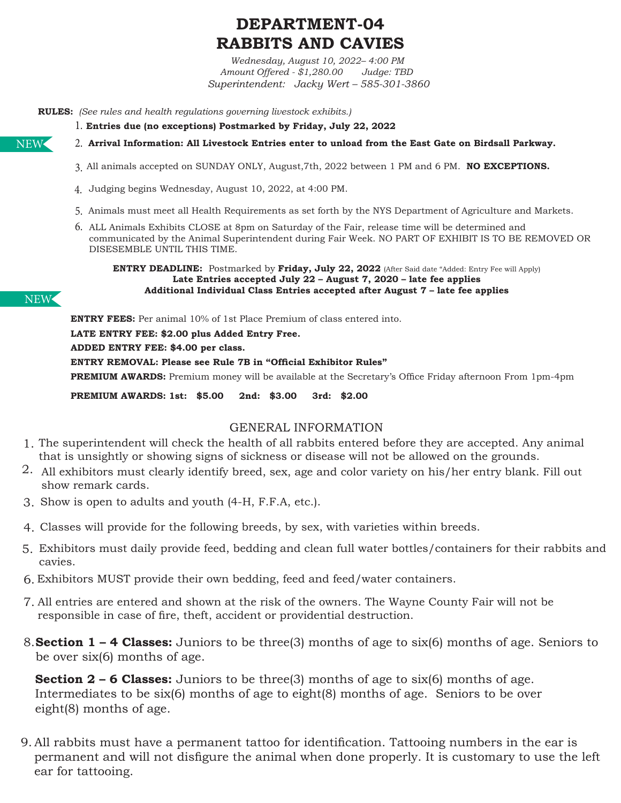# **DEPARTMENT-04 RABBITS AND CAVIES**

*Wednesday, August 10, 2022– 4:00 PM Amount Offered - \$1,280.00 Judge: TBD Superintendent: Jacky Wert – 585-301-3860*

**RULES:** *(See rules and health regulations governing livestock exhibits.)* 

- **Entries due (no exceptions) Postmarked by Friday, July 22, 2022** 1.
- NEW
- All animals accepted on SUNDAY ONLY, August,7th, 2022 between 1 PM and 6 PM. **NO EXCEPTIONS.**  3. **Arrival Information: All Livestock Entries enter to unload from the East Gate on Birdsall Parkway.** 2.
- Judging begins Wednesday, August 10, 2022, at 4:00 PM. 4.
- 5. Animals must meet all Health Requirements as set forth by the NYS Department of Agriculture and Markets.
- 6. ALL Animals Exhibits CLOSE at 8pm on Saturday of the Fair, release time will be determined and communicated by the Animal Superintendent during Fair Week. NO PART OF EXHIBIT IS TO BE REMOVED OR DISESEMBLE UNTIL THIS TIME.

**ENTRY DEADLINE:** Postmarked by **Friday, July 22, 2022** (After Said date "Added: Entry Fee will Apply) **Late Entries accepted July 22 – August 7, 2020 – late fee applies Additional Individual Class Entries accepted after August 7 – late fee applies**

#### NEW

**ENTRY FEES:** Per animal 10% of 1st Place Premium of class entered into.

**LATE ENTRY FEE: \$2.00 plus Added Entry Free.**

**ADDED ENTRY FEE: \$4.00 per class.** 

**ENTRY REMOVAL: Please see Rule 7B in "Official Exhibitor Rules"**

**PREMIUM AWARDS:** Premium money will be available at the Secretary's Office Friday afternoon From 1pm-4pm

**PREMIUM AWARDS: 1st: \$5.00 2nd: \$3.00 3rd: \$2.00** 

### GENERAL INFORMATION

- 1. The superintendent will check the health of all rabbits entered before they are accepted. Any animal that is unsightly or showing signs of sickness or disease will not be allowed on the grounds.
- $2.$  All exhibitors must clearly identify breed, sex, age and color variety on his/her entry blank. Fill out show remark cards.
- 3. Show is open to adults and youth (4-H, F.F.A, etc.).
- Classes will provide for the following breeds, by sex, with varieties within breeds. 4.
- Exhibitors must daily provide feed, bedding and clean full water bottles/containers for their rabbits and 5. cavies.
- Exhibitors MUST provide their own bedding, feed and feed/water containers. 6.
- All entries are entered and shown at the risk of the owners. The Wayne County Fair will not be 7. responsible in case of fire, theft, accident or providential destruction.
- 8. **Section 1 4 Classes:** Juniors to be three(3) months of age to six(6) months of age. Seniors to be over six(6) months of age.

**Section 2 – 6 Classes:** Juniors to be three(3) months of age to six(6) months of age. Intermediates to be six(6) months of age to eight(8) months of age. Seniors to be over eight(8) months of age.

9. All rabbits must have a permanent tattoo for identification. Tattooing numbers in the ear is permanent and will not disfigure the animal when done properly. It is customary to use the left ear for tattooing.